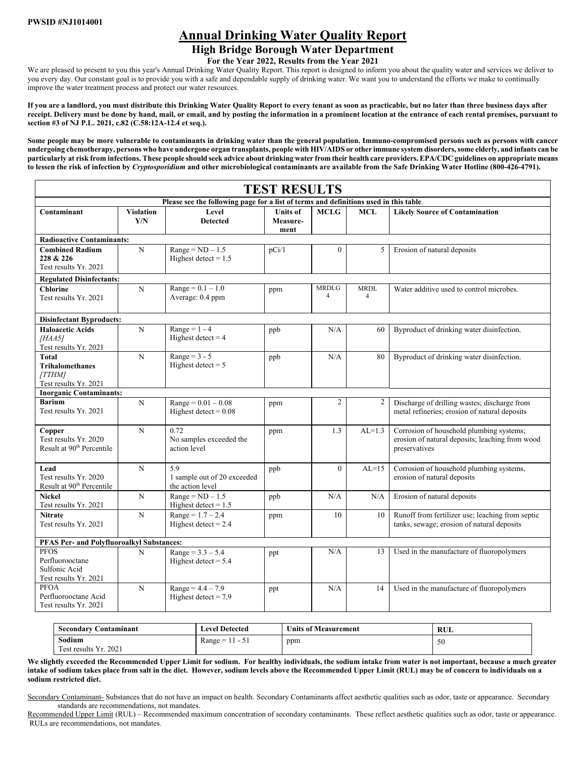# **Annual Drinking Water Quality Report**

## **High Bridge Borough Water Department**

**For the Year 2022, Results from the Year 2021** 

We are pleased to present to you this year's Annual Drinking Water Quality Report. This report is designed to inform you about the quality water and services we deliver to you every day. Our constant goal is to provide you with a safe and dependable supply of drinking water. We want you to understand the efforts we make to continually improve the water treatment process and protect our water resources.

**If you are a landlord, you must distribute this Drinking Water Quality Report to every tenant as soon as practicable, but no later than three business days after receipt. Delivery must be done by hand, mail, or email, and by posting the information in a prominent location at the entrance of each rental premises, pursuant to section #3 of NJ P.L. 2021, c.82 (C.58:12A-12.4 et seq.).** 

**Some people may be more vulnerable to contaminants in drinking water than the general population. Immuno-compromised persons such as persons with cancer undergoing chemotherapy, persons who have undergone organ transplants, people with HIV/AIDS or other immune system disorders, some elderly, and infants can be particularly at risk from infections. These people should seek advice about drinking water from their health care providers. EPA/CDC guidelines on appropriate means to lessen the risk of infection by** *Cryptosporidium* **and other microbiological contaminants are available from the Safe Drinking Water Hotline (800-426-4791).** 

|                                                                                       | <b>TEST RESULTS</b>     |                                                        |                                     |                                |                               |                                                                                                              |  |  |  |  |  |  |  |  |
|---------------------------------------------------------------------------------------|-------------------------|--------------------------------------------------------|-------------------------------------|--------------------------------|-------------------------------|--------------------------------------------------------------------------------------------------------------|--|--|--|--|--|--|--|--|
| Please see the following page for a list of terms and definitions used in this table. |                         |                                                        |                                     |                                |                               |                                                                                                              |  |  |  |  |  |  |  |  |
| Contaminant                                                                           | <b>Violation</b><br>Y/N | Level<br><b>Detected</b>                               | <b>Units of</b><br>Measure-<br>ment | <b>MCLG</b>                    | <b>MCL</b>                    | <b>Likely Source of Contamination</b>                                                                        |  |  |  |  |  |  |  |  |
| <b>Radioactive Contaminants:</b>                                                      |                         |                                                        |                                     |                                |                               |                                                                                                              |  |  |  |  |  |  |  |  |
| <b>Combined Radium</b><br>228 & 226<br>Test results Yr. 2021                          | N                       | $Range = ND - 1.5$<br>Highest detect = $1.5$           | pCi/1                               | $\theta$                       | 5                             | Erosion of natural deposits                                                                                  |  |  |  |  |  |  |  |  |
| <b>Regulated Disinfectants:</b>                                                       |                         |                                                        |                                     |                                |                               |                                                                                                              |  |  |  |  |  |  |  |  |
| <b>Chlorine</b><br>Test results Yr. 2021                                              | N                       | $Range = 0.1 - 1.0$<br>Average: 0.4 ppm                | ppm                                 | <b>MRDLG</b><br>$\overline{4}$ | <b>MRDL</b><br>$\overline{4}$ | Water additive used to control microbes.                                                                     |  |  |  |  |  |  |  |  |
| <b>Disinfectant Byproducts:</b>                                                       |                         |                                                        |                                     |                                |                               |                                                                                                              |  |  |  |  |  |  |  |  |
| <b>Haloacetic Acids</b><br>[HAA5]<br>Test results Yr. 2021                            | N                       | Range = $1 - 4$<br>Highest detect = $4$                | ppb                                 | N/A                            | 60                            | Byproduct of drinking water disinfection.                                                                    |  |  |  |  |  |  |  |  |
| Total<br><b>Trihalomethanes</b><br>[TTHM]<br>Test results Yr. 2021                    | ${\bf N}$               | Range = $3 - 5$<br>Highest detect $= 5$                | ppb                                 | N/A                            | 80                            | Byproduct of drinking water disinfection.                                                                    |  |  |  |  |  |  |  |  |
| <b>Inorganic Contaminants:</b>                                                        |                         |                                                        |                                     |                                |                               |                                                                                                              |  |  |  |  |  |  |  |  |
| <b>Barium</b><br>Test results Yr. 2021                                                | N                       | $Range = 0.01 - 0.08$<br>Highest detect = $0.08$       | ppm                                 | $\overline{2}$                 | $\overline{2}$                | Discharge of drilling wastes; discharge from<br>metal refineries; erosion of natural deposits                |  |  |  |  |  |  |  |  |
| Copper<br>Test results Yr. 2020<br>Result at 90 <sup>th</sup> Percentile              | $\mathbf N$             | 0.72<br>No samples exceeded the<br>action level        | ppm                                 | 1.3                            | $AL=1.3$                      | Corrosion of household plumbing systems;<br>erosion of natural deposits; leaching from wood<br>preservatives |  |  |  |  |  |  |  |  |
| Lead<br>Test results Yr. 2020<br>Result at 90 <sup>th</sup> Percentile                | $\mathbf N$             | 5.9<br>1 sample out of 20 exceeded<br>the action level | ppb                                 | $\theta$                       | $AL=15$                       | Corrosion of household plumbing systems,<br>erosion of natural deposits                                      |  |  |  |  |  |  |  |  |
| <b>Nickel</b><br>Test results Yr. 2021                                                | N                       | $Range = ND - 1.5$<br>Highest detect = $1.5$           | ppb                                 | N/A                            | N/A                           | Erosion of natural deposits                                                                                  |  |  |  |  |  |  |  |  |
| <b>Nitrate</b><br>Test results Yr. 2021                                               | N                       | $Range = 1.7 - 2.4$<br>Highest detect = $2.4$          | ppm                                 | 10                             | 10                            | Runoff from fertilizer use; leaching from septic<br>tanks, sewage; erosion of natural deposits               |  |  |  |  |  |  |  |  |
| <b>PFAS Per- and Polyfluoroalkyl Substances:</b>                                      |                         |                                                        |                                     |                                |                               |                                                                                                              |  |  |  |  |  |  |  |  |
| <b>PFOS</b><br>Perfluorooctane<br>Sulfonic Acid<br>Test results Yr. 2021              | N                       | $Range = 3.3 - 5.4$<br>Highest detect $= 5.4$          | ppt                                 | N/A                            | 13                            | Used in the manufacture of fluoropolymers                                                                    |  |  |  |  |  |  |  |  |
| <b>PFOA</b><br>Perfluorooctane Acid<br>Test results Yr. 2021                          | N                       | $Range = 4.4 - 7.9$<br>Highest detect = $7.9$          | ppt                                 | N/A                            | 14                            | Used in the manufacture of fluoropolymers                                                                    |  |  |  |  |  |  |  |  |

| <b>Secondary Contaminant</b> | <b>Level Detected</b> | <b>Units of Measurement</b> | RUL |  |  |  |
|------------------------------|-----------------------|-----------------------------|-----|--|--|--|
| Sodium                       | $Range = 11 - 51$     | ppm                         | .JU |  |  |  |
| Test results Yr. 2021        |                       |                             |     |  |  |  |

We slightly exceeded the Recommended Upper Limit for sodium. For healthy individuals, the sodium intake from water is not important, because a much greater **intake of sodium takes place from salt in the diet. However, sodium levels above the Recommended Upper Limit (RUL) may be of concern to individuals on a sodium restricted diet.** 

Secondary Contaminant- Substances that do not have an impact on health. Secondary Contaminants affect aesthetic qualities such as odor, taste or appearance. Secondary standards are recommendations, not mandates.

Recommended Upper Limit (RUL) – Recommended maximum concentration of secondary contaminants. These reflect aesthetic qualities such as odor, taste or appearance. RULs are recommendations, not mandates.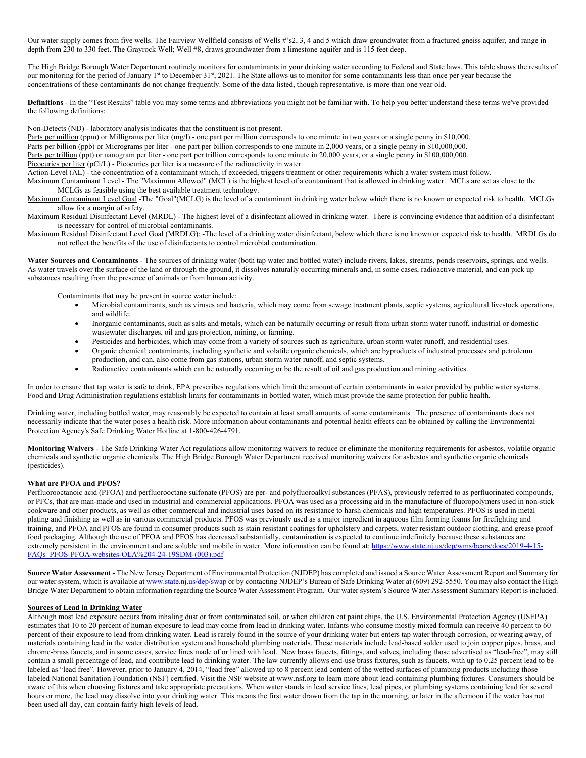Our water supply comes from five wells. The Fairview Wellfield consists of Wells #'s2, 3, 4 and 5 which draw groundwater from a fractured gneiss aquifer, and range in depth from 230 to 330 feet. The Grayrock Well; Well #8, draws groundwater from a limestone aquifer and is 115 feet deep.

The High Bridge Borough Water Department routinely monitors for contaminants in your drinking water according to Federal and State laws. This table shows the results of our monitoring for the period of January 1<sup>st</sup> to December 31<sup>st</sup>, 2021. The State allows us to monitor for some contaminants less than once per year because the concentrations of these contaminants do not change frequently. Some of the data listed, though representative, is more than one year old.

**Definitions** - In the "Test Results" table you may some terms and abbreviations you might not be familiar with. To help you better understand these terms we've provided the following definitions:

Non-Detects (ND) - laboratory analysis indicates that the constituent is not present.

Parts per million (ppm) or Milligrams per liter (mg/l) - one part per million corresponds to one minute in two years or a single penny in \$10,000.

Parts per billion (ppb) or Micrograms per liter - one part per billion corresponds to one minute in 2,000 years, or a single penny in \$10,000,000. Parts per trillion (ppt) or nanogram per liter - one part per trillion corresponds to one minute in 20,000 years, or a single penny in \$100,000,000.

Picocuries per liter (pCi/L) - Picocuries per liter is a measure of the radioactivity in water.

Action Level (AL) - the concentration of a contaminant which, if exceeded, triggers treatment or other requirements which a water system must follow.

Maximum Contaminant Level - The "Maximum Allowed" (MCL) is the highest level of a contaminant that is allowed in drinking water. MCLs are set as close to the MCLGs as feasible using the best available treatment technology.

Maximum Contaminant Level Goal -The "Goal"(MCLG) is the level of a contaminant in drinking water below which there is no known or expected risk to health. MCLGs allow for a margin of safety.

Maximum Residual Disinfectant Level (MRDL) - The highest level of a disinfectant allowed in drinking water. There is convincing evidence that addition of a disinfectant is necessary for control of microbial contaminants.

Maximum Residual Disinfectant Level Goal (MRDLG): -The level of a drinking water disinfectant, below which there is no known or expected risk to health. MRDLGs do not reflect the benefits of the use of disinfectants to control microbial contamination.

**Water Sources and Contaminants** - The sources of drinking water (both tap water and bottled water) include rivers, lakes, streams, ponds reservoirs, springs, and wells. As water travels over the surface of the land or through the ground, it dissolves naturally occurring minerals and, in some cases, radioactive material, and can pick up substances resulting from the presence of animals or from human activity.

Contaminants that may be present in source water include:

- Microbial contaminants, such as viruses and bacteria, which may come from sewage treatment plants, septic systems, agricultural livestock operations, and wildlife.
- Inorganic contaminants, such as salts and metals, which can be naturally occurring or result from urban storm water runoff, industrial or domestic wastewater discharges, oil and gas projection, mining, or farming.
- Pesticides and herbicides, which may come from a variety of sources such as agriculture, urban storm water runoff, and residential uses.
- Organic chemical contaminants, including synthetic and volatile organic chemicals, which are byproducts of industrial processes and petroleum production, and can, also come from gas stations, urban storm water runoff, and septic systems.
- Radioactive contaminants which can be naturally occurring or be the result of oil and gas production and mining activities.

In order to ensure that tap water is safe to drink, EPA prescribes regulations which limit the amount of certain contaminants in water provided by public water systems. Food and Drug Administration regulations establish limits for contaminants in bottled water, which must provide the same protection for public health.

Drinking water, including bottled water, may reasonably be expected to contain at least small amounts of some contaminants. The presence of contaminants does not necessarily indicate that the water poses a health risk. More information about contaminants and potential health effects can be obtained by calling the Environmental Protection Agency's Safe Drinking Water Hotline at 1-800-426-4791.

**Monitoring Waivers** - The Safe Drinking Water Act regulations allow monitoring waivers to reduce or eliminate the monitoring requirements for asbestos, volatile organic chemicals and synthetic organic chemicals. The High Bridge Borough Water Department received monitoring waivers for asbestos and synthetic organic chemicals (pesticides).

### **What are PFOA and PFOS?**

Perfluorooctanoic acid (PFOA) and perfluorooctane sulfonate (PFOS) are per- and polyfluoroalkyl substances (PFAS), previously referred to as perfluorinated compounds, or PFCs, that are man-made and used in industrial and commercial applications. PFOA was used as a processing aid in the manufacture of fluoropolymers used in non-stick cookware and other products, as well as other commercial and industrial uses based on its resistance to harsh chemicals and high temperatures. PFOS is used in metal plating and finishing as well as in various commercial products. PFOS was previously used as a major ingredient in aqueous film forming foams for firefighting and training, and PFOA and PFOS are found in consumer products such as stain resistant coatings for upholstery and carpets, water resistant outdoor clothing, and grease proof food packaging. Although the use of PFOA and PFOS has decreased substantially, contamination is expected to continue indefinitely because these substances are extremely persistent in the environment and are soluble and mobile in water. More information can be found at: https://www.state.nj.us/dep/wms/bears/docs/2019-4-15-FAQs\_PFOS-PFOA-websites-OLA%204-24-19SDM-(003).pdf

**Source Water Assessment -** The New Jersey Department of Environmental Protection (NJDEP) has completed and issued a Source Water Assessment Report and Summary for our water system, which is available at www.state.nj.us/dep/swap or by contacting NJDEP's Bureau of Safe Drinking Water at (609) 292-5550. You may also contact the High Bridge Water Department to obtain information regarding the Source Water Assessment Program. Our water system's Source Water Assessment Summary Report is included.

#### **Sources of Lead in Drinking Water**

Although most lead exposure occurs from inhaling dust or from contaminated soil, or when children eat paint chips, the U.S. Environmental Protection Agency (USEPA) estimates that 10 to 20 percent of human exposure to lead may come from lead in drinking water. Infants who consume mostly mixed formula can receive 40 percent to 60 percent of their exposure to lead from drinking water. Lead is rarely found in the source of your drinking water but enters tap water through corrosion, or wearing away, of materials containing lead in the water distribution system and household plumbing materials. These materials include lead-based solder used to join copper pipes, brass, and chrome-brass faucets, and in some cases, service lines made of or lined with lead. New brass faucets, fittings, and valves, including those advertised as "lead-free", may still contain a small percentage of lead, and contribute lead to drinking water. The law currently allows end-use brass fixtures, such as faucets, with up to 0.25 percent lead to be labeled as "lead free". However, prior to January 4, 2014, "lead free" allowed up to 8 percent lead content of the wetted surfaces of plumbing products including those labeled National Sanitation Foundation (NSF) certified. Visit the NSF website at www.nsf.org to learn more about lead-containing plumbing fixtures. Consumers should be aware of this when choosing fixtures and take appropriate precautions. When water stands in lead service lines, lead pipes, or plumbing systems containing lead for several hours or more, the lead may dissolve into your drinking water. This means the first water drawn from the tap in the morning, or later in the afternoon if the water has not been used all day, can contain fairly high levels of lead.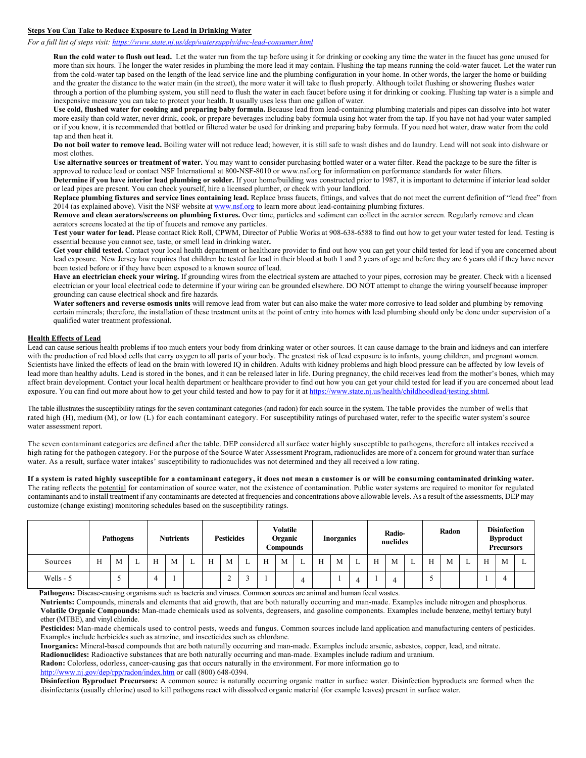### **Steps You Can Take to Reduce Exposure to Lead in Drinking Water**

*For a full list of steps visit: https://www.state.nj.us/dep/watersupply/dwc-lead-consumer.html*

**Run the cold water to flush out lead.** Let the water run from the tap before using it for drinking or cooking any time the water in the faucet has gone unused for more than six hours. The longer the water resides in plumbing the more lead it may contain. Flushing the tap means running the cold-water faucet. Let the water run from the cold-water tap based on the length of the lead service line and the plumbing configuration in your home. In other words, the larger the home or building and the greater the distance to the water main (in the street), the more water it will take to flush properly. Although toilet flushing or showering flushes water through a portion of the plumbing system, you still need to flush the water in each faucet before using it for drinking or cooking. Flushing tap water is a simple and inexpensive measure you can take to protect your health. It usually uses less than one gallon of water.

**Use cold, flushed water for cooking and preparing baby formula.** Because lead from lead-containing plumbing materials and pipes can dissolve into hot water more easily than cold water, never drink, cook, or prepare beverages including baby formula using hot water from the tap. If you have not had your water sampled or if you know, it is recommended that bottled or filtered water be used for drinking and preparing baby formula. If you need hot water, draw water from the cold tap and then heat it.

**Do not boil water to remove lead.** Boiling water will not reduce lead; however, it is still safe to wash dishes and do laundry. Lead will not soak into dishware or most clothes.

**Use alternative sources or treatment of water.** You may want to consider purchasing bottled water or a water filter. Read the package to be sure the filter is approved to reduce lead or contact NSF International at 800-NSF-8010 or www.nsf.org for information on performance standards for water filters.

Determine if you have interior lead plumbing or solder. If your home/building was constructed prior to 1987, it is important to determine if interior lead solder or lead pipes are present. You can check yourself, hire a licensed plumber, or check with your landlord.

**Replace plumbing fixtures and service lines containing lead.** Replace brass faucets, fittings, and valves that do not meet the current definition of "lead free" from 2014 (as explained above). Visit the NSF website at www.nsf.org to learn more about lead-containing plumbing fixtures.

**Remove and clean aerators/screens on plumbing fixtures.** Over time, particles and sediment can collect in the aerator screen. Regularly remove and clean aerators screens located at the tip of faucets and remove any particles.

**Test your water for lead.** Please contact Rick Roll, CPWM, Director of Public Works at 908-638-6588 to find out how to get your water tested for lead. Testing is essential because you cannot see, taste, or smell lead in drinking water**.** 

Get your child tested. Contact your local health department or healthcare provider to find out how you can get your child tested for lead if you are concerned about lead exposure. New Jersey law requires that children be tested for lead in their blood at both 1 and 2 years of age and before they are 6 years old if they have never been tested before or if they have been exposed to a known source of lead.

**Have an electrician check your wiring.** If grounding wires from the electrical system are attached to your pipes, corrosion may be greater. Check with a licensed electrician or your local electrical code to determine if your wiring can be grounded elsewhere. DO NOT attempt to change the wiring yourself because improper grounding can cause electrical shock and fire hazards.

**Water softeners and reverse osmosis units** will remove lead from water but can also make the water more corrosive to lead solder and plumbing by removing certain minerals; therefore, the installation of these treatment units at the point of entry into homes with lead plumbing should only be done under supervision of a qualified water treatment professional.

#### **Health Effects of Lead**

Lead can cause serious health problems if too much enters your body from drinking water or other sources. It can cause damage to the brain and kidneys and can interfere with the production of red blood cells that carry oxygen to all parts of your body. The greatest risk of lead exposure is to infants, young children, and pregnant women. Scientists have linked the effects of lead on the brain with lowered IQ in children. Adults with kidney problems and high blood pressure can be affected by low levels of lead more than healthy adults. Lead is stored in the bones, and it can be released later in life. During pregnancy, the child receives lead from the mother's bones, which may affect brain development. Contact your local health department or healthcare provider to find out how you can get your child tested for lead if you are concerned about lead exposure. You can find out more about how to get your child tested and how to pay for it at https://www.state.nj.us/health/childhoodlead/testing.shtml.

The table illustrates the susceptibility ratings for the seven contaminant categories (and radon) for each source in the system. The table provides the number of wells that rated high (H), medium (M), or low (L) for each contaminant category. For susceptibility ratings of purchased water, refer to the specific water system's source water assessment report.

The seven contaminant categories are defined after the table. DEP considered all surface water highly susceptible to pathogens, therefore all intakes received a high rating for the pathogen category. For the purpose of the Source Water Assessment Program, radionuclides are more of a concern for ground water than surface water. As a result, surface water intakes' susceptibility to radionuclides was not determined and they all received a low rating.

#### **If a system is rated highly susceptible for a contaminant category, it does not mean a customer is or will be consuming contaminated drinking water.**

The rating reflects the potential for contamination of source water, not the existence of contamination. Public water systems are required to monitor for regulated contaminants and to install treatment if any contaminants are detected at frequencies and concentrations above allowable levels. As a result of the assessments, DEP may customize (change existing) monitoring schedules based on the susceptibility ratings.

|           |   | <b>Pathogens</b> | <b>Nutrients</b> |   |   | <b>Pesticides</b> |             |   | <b>Volatile</b><br>Organic<br>Compounds |   |   | <b>Inorganics</b> |   | Radio-<br>nuclides |   |   | Radon |   |   | <b>Disinfection</b><br><b>Byproduct</b><br><b>Precursors</b> |   |   |  |
|-----------|---|------------------|------------------|---|---|-------------------|-------------|---|-----------------------------------------|---|---|-------------------|---|--------------------|---|---|-------|---|---|--------------------------------------------------------------|---|---|--|
| Sources   | Н | M                | H                | M | ∸ | H                 | M           | ∸ | H                                       | M | ≖ | H                 | M |                    | T | M |       | H | M | ∸                                                            | H | M |  |
| Wells - 5 |   | -                |                  |   |   |                   | $\sim$<br>∼ |   |                                         |   | 4 |                   |   | 4                  |   |   |       |   |   |                                                              |   |   |  |

**Pathogens:** Disease-causing organisms such as bacteria and viruses. Common sources are animal and human fecal wastes.

**Nutrients:** Compounds, minerals and elements that aid growth, that are both naturally occurring and man-made. Examples include nitrogen and phosphorus. **Volatile Organic Compounds:** Man-made chemicals used as solvents, degreasers, and gasoline components. Examples include benzene, methyl tertiary butyl ether (MTBE), and vinyl chloride.

**Pesticides:** Man-made chemicals used to control pests, weeds and fungus. Common sources include land application and manufacturing centers of pesticides. Examples include herbicides such as atrazine, and insecticides such as chlordane.

**Inorganics:** Mineral-based compounds that are both naturally occurring and man-made. Examples include arsenic, asbestos, copper, lead, and nitrate.

**Radionuclides:** Radioactive substances that are both naturally occurring and man-made. Examples include radium and uranium.

**Radon:** Colorless, odorless, cancer-causing gas that occurs naturally in the environment. For more information go to

http://www.nj.gov/dep/rpp/radon/index.htm or call (800) 648-0394.

**Disinfection Byproduct Precursors:** A common source is naturally occurring organic matter in surface water. Disinfection byproducts are formed when the disinfectants (usually chlorine) used to kill pathogens react with dissolved organic material (for example leaves) present in surface water.